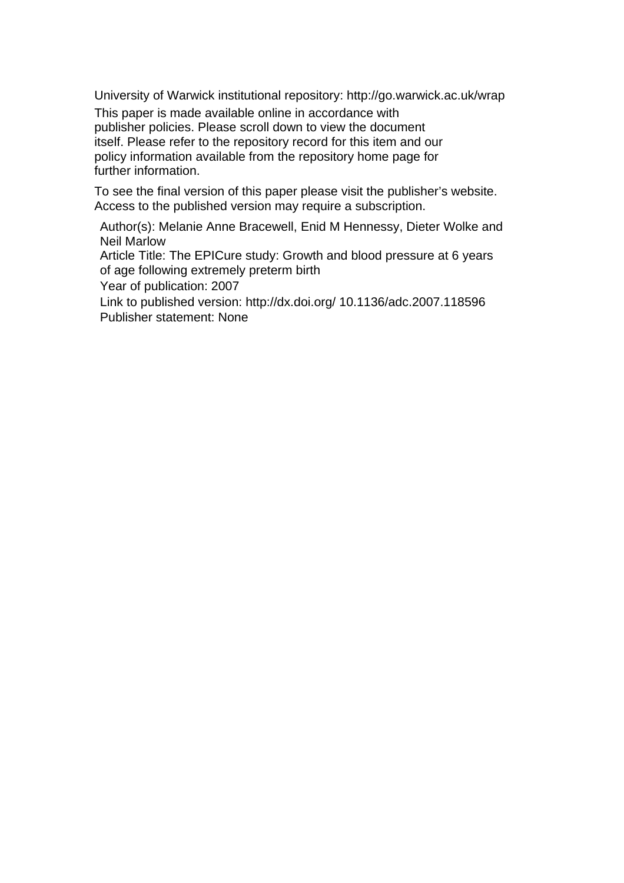University of Warwick institutional repository: <http://go.warwick.ac.uk/wrap>

This paper is made available online in accordance with publisher policies. Please scroll down to view the document itself. Please refer to the repository record for this item and our policy information available from the repository home page for further information.

To see the final version of this paper please visit the publisher's website. Access to the published version may require a subscription.

Author(s): Melanie Anne Bracewell, Enid M Hennessy, Dieter Wolke and Neil Marlow

Article Title: The EPICure study: Growth and blood pressure at 6 years of age following extremely preterm birth

Year of publication: 2007

Link to published version: http://dx.doi.org/ 10.1136/adc.2007.118596 Publisher statement: None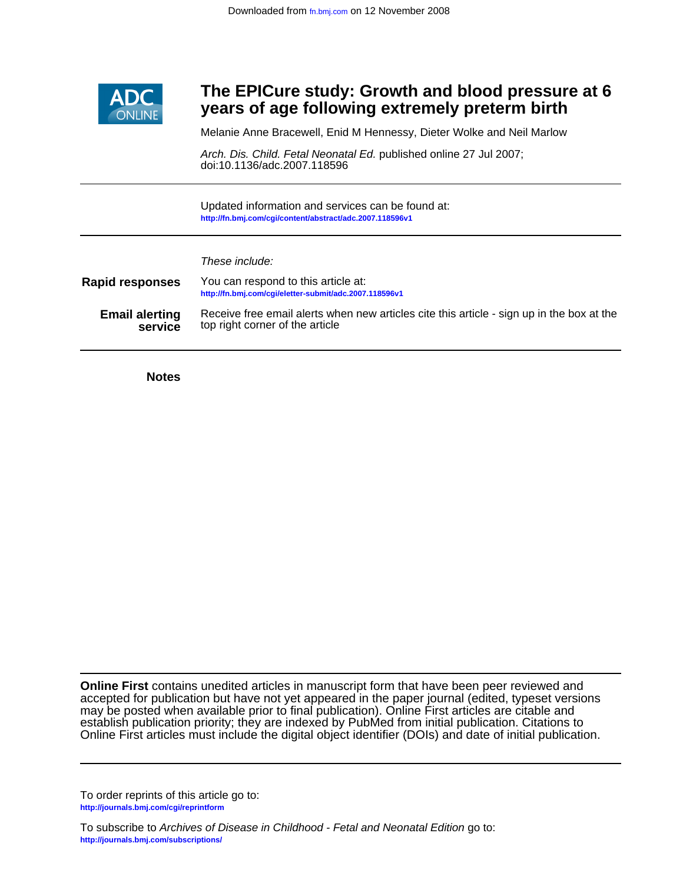

## ٦ **years of age following extremely preterm birth The EPICure study: Growth and blood pressure at 6**

Melanie Anne Bracewell, Enid M Hennessy, Dieter Wolke and Neil Marlow

doi:10.1136/adc.2007.118596 Arch. Dis. Child. Fetal Neonatal Ed. published online 27 Jul 2007;

**<http://fn.bmj.com/cgi/content/abstract/adc.2007.118596v1>** Updated information and services can be found at:

These include:

| <b>Rapid responses</b> | You can respond to this article at:<br>http://fn.bmj.com/cgi/eletter-submit/adc.2007.118596v1 |
|------------------------|-----------------------------------------------------------------------------------------------|
| <b>Email alerting</b>  | Receive free email alerts when new articles cite this article - sign up in the box at the     |
| service                | top right corner of the article                                                               |

**Notes**

Online First articles must include the digital object identifier (DOIs) and date of initial publication. establish publication priority; they are indexed by PubMed from initial publication. Citations to may be posted when available prior to final publication). Online First articles are citable and accepted for publication but have not yet appeared in the paper journal (edited, typeset versions **Online First** contains unedited articles in manuscript form that have been peer reviewed and

**<http://journals.bmj.com/cgi/reprintform>** To order reprints of this article go to:

**<http://journals.bmj.com/subscriptions/>** To subscribe to Archives of Disease in Childhood - Fetal and Neonatal Edition go to: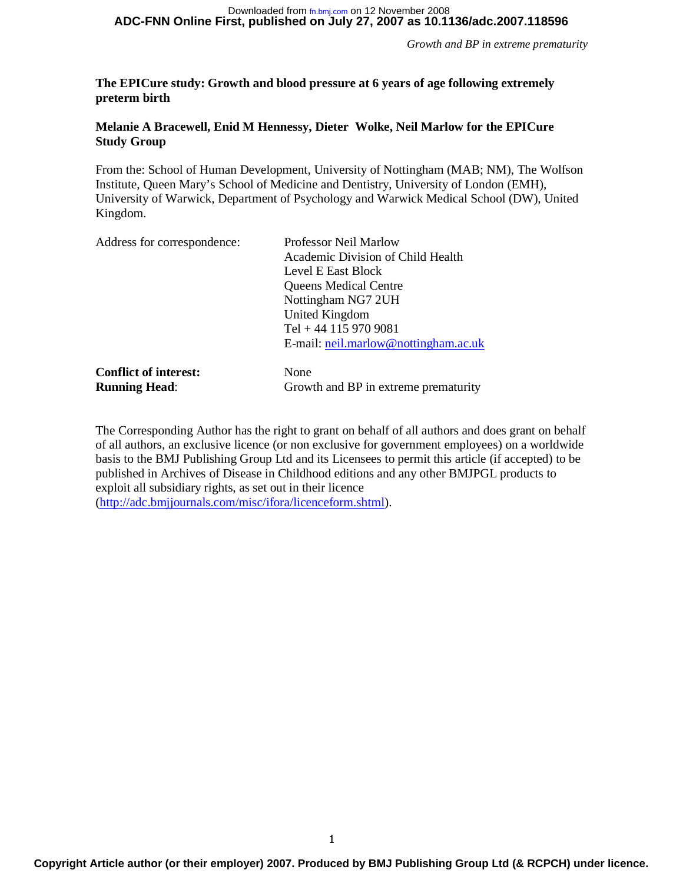#### **ADC-FNN Online First, published on July 27, 2007 as 10.1136/adc.2007.118596** Downloaded from [fn.bmj.com](http://fn.bmj.com) on 12 November 2008

*Growth and BP in extreme prematurity* 

### **The EPICure study: Growth and blood pressure at 6 years of age following extremely preterm birth**

### **Melanie A Bracewell, Enid M Hennessy, Dieter Wolke, Neil Marlow for the EPICure Study Group**

From the: School of Human Development, University of Nottingham (MAB; NM), The Wolfson Institute, Queen Mary's School of Medicine and Dentistry, University of London (EMH), University of Warwick, Department of Psychology and Warwick Medical School (DW), United Kingdom.

| Address for correspondence:  | Professor Neil Marlow                |  |  |  |
|------------------------------|--------------------------------------|--|--|--|
|                              | Academic Division of Child Health    |  |  |  |
|                              | Level E East Block                   |  |  |  |
|                              | <b>Queens Medical Centre</b>         |  |  |  |
|                              | Nottingham NG7 2UH                   |  |  |  |
|                              | United Kingdom                       |  |  |  |
|                              | Tel + 44 115 970 9081                |  |  |  |
|                              | E-mail: neil.marlow@nottingham.ac.uk |  |  |  |
| <b>Conflict of interest:</b> | None                                 |  |  |  |
| <b>Running Head:</b>         | Growth and BP in extreme prematurity |  |  |  |

The Corresponding Author has the right to grant on behalf of all authors and does grant on behalf of all authors, an exclusive licence (or non exclusive for government employees) on a worldwide basis to the BMJ Publishing Group Ltd and its Licensees to permit this article (if accepted) to be published in Archives of Disease in Childhood editions and any other BMJPGL products to exploit all subsidiary rights, as set out in their licence (http://adc.bmjjournals.com/misc/ifora/licenceform.shtml).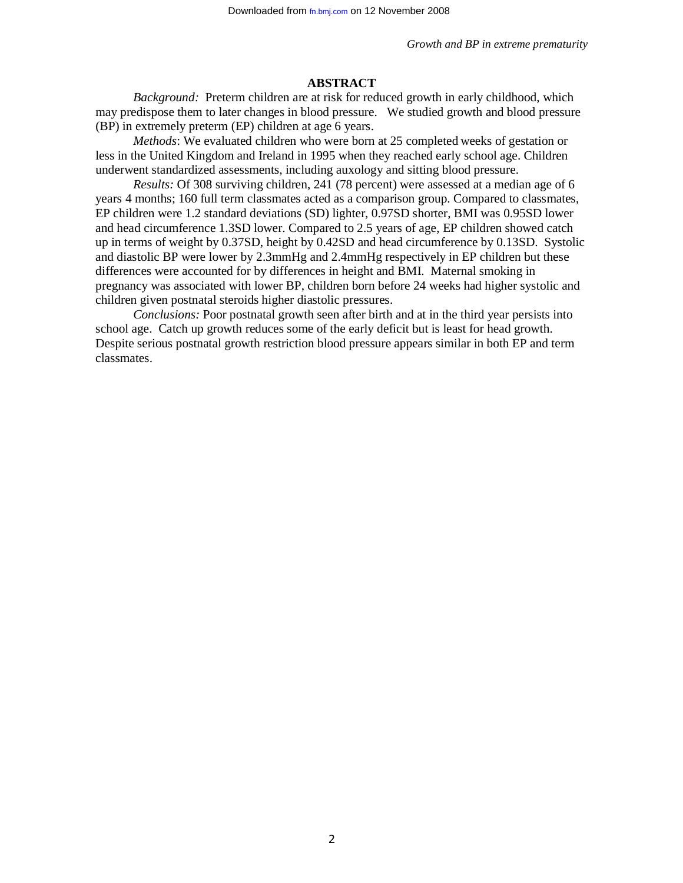### **ABSTRACT**

*Background:* Preterm children are at risk for reduced growth in early childhood, which may predispose them to later changes in blood pressure. We studied growth and blood pressure (BP) in extremely preterm (EP) children at age 6 years.

*Methods*: We evaluated children who were born at 25 completed weeks of gestation or less in the United Kingdom and Ireland in 1995 when they reached early school age. Children underwent standardized assessments, including auxology and sitting blood pressure.

*Results:* Of 308 surviving children, 241 (78 percent) were assessed at a median age of 6 years 4 months; 160 full term classmates acted as a comparison group. Compared to classmates, EP children were 1.2 standard deviations (SD) lighter, 0.97SD shorter, BMI was 0.95SD lower and head circumference 1.3SD lower. Compared to 2.5 years of age, EP children showed catch up in terms of weight by 0.37SD, height by 0.42SD and head circumference by 0.13SD. Systolic and diastolic BP were lower by 2.3mmHg and 2.4mmHg respectively in EP children but these differences were accounted for by differences in height and BMI. Maternal smoking in pregnancy was associated with lower BP, children born before 24 weeks had higher systolic and children given postnatal steroids higher diastolic pressures.

*Conclusions:* Poor postnatal growth seen after birth and at in the third year persists into school age. Catch up growth reduces some of the early deficit but is least for head growth. Despite serious postnatal growth restriction blood pressure appears similar in both EP and term classmates.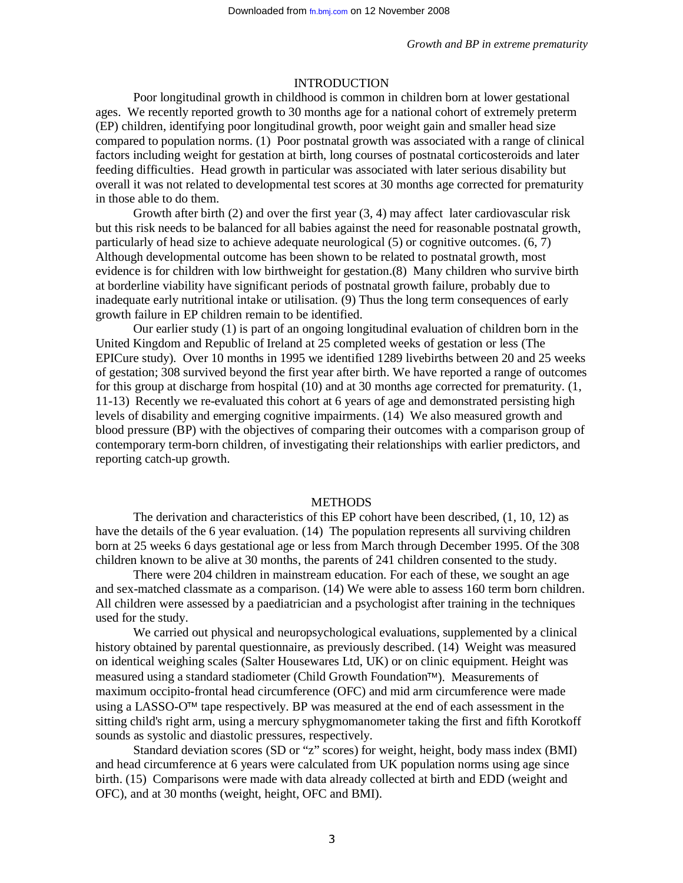### INTRODUCTION

Poor longitudinal growth in childhood is common in children born at lower gestational ages. We recently reported growth to 30 months age for a national cohort of extremely preterm (EP) children, identifying poor longitudinal growth, poor weight gain and smaller head size compared to population norms. (1) Poor postnatal growth was associated with a range of clinical factors including weight for gestation at birth, long courses of postnatal corticosteroids and later feeding difficulties. Head growth in particular was associated with later serious disability but overall it was not related to developmental test scores at 30 months age corrected for prematurity in those able to do them.

Growth after birth  $(2)$  and over the first year  $(3, 4)$  may affect later cardiovascular risk but this risk needs to be balanced for all babies against the need for reasonable postnatal growth, particularly of head size to achieve adequate neurological (5) or cognitive outcomes. (6, 7) Although developmental outcome has been shown to be related to postnatal growth, most evidence is for children with low birthweight for gestation.(8) Many children who survive birth at borderline viability have significant periods of postnatal growth failure, probably due to inadequate early nutritional intake or utilisation. (9) Thus the long term consequences of early growth failure in EP children remain to be identified.

Our earlier study (1) is part of an ongoing longitudinal evaluation of children born in the United Kingdom and Republic of Ireland at 25 completed weeks of gestation or less (The EPICure study). Over 10 months in 1995 we identified 1289 livebirths between 20 and 25 weeks of gestation; 308 survived beyond the first year after birth. We have reported a range of outcomes for this group at discharge from hospital (10) and at 30 months age corrected for prematurity. (1, 11-13) Recently we re-evaluated this cohort at 6 years of age and demonstrated persisting high levels of disability and emerging cognitive impairments. (14) We also measured growth and blood pressure (BP) with the objectives of comparing their outcomes with a comparison group of contemporary term-born children, of investigating their relationships with earlier predictors, and reporting catch-up growth.

#### METHODS

The derivation and characteristics of this EP cohort have been described, (1, 10, 12) as have the details of the 6 year evaluation. (14) The population represents all surviving children born at 25 weeks 6 days gestational age or less from March through December 1995. Of the 308 children known to be alive at 30 months, the parents of 241 children consented to the study.

There were 204 children in mainstream education. For each of these, we sought an age and sex-matched classmate as a comparison. (14) We were able to assess 160 term born children. All children were assessed by a paediatrician and a psychologist after training in the techniques used for the study.

We carried out physical and neuropsychological evaluations, supplemented by a clinical history obtained by parental questionnaire, as previously described. (14) Weight was measured on identical weighing scales (Salter Housewares Ltd, UK) or on clinic equipment. Height was measured using a standard stadiometer (Child Growth Foundation™). Measurements of measured using a standard stadiometer (Child Growth Foundation™). Measurements of<br>maximum occipito-frontal head circumference (OFC) and mid arm circumference were made using a LASSO- $O<sup>TM</sup>$  tape respectively. BP was measured at the end of each assessment in the using a LASSO-O<sup>™</sup> tape respectively. BP was measured at the end of each assessment in the sitting child's right arm, using a mercury sphygmomanometer taking the first and fifth Korotkoff sounds as systolic and diastolic pressures, respectively.

Standard deviation scores (SD or "z" scores) for weight, height, body mass index (BMI) and head circumference at 6 years were calculated from UK population norms using age since birth. (15) Comparisons were made with data already collected at birth and EDD (weight and OFC), and at 30 months (weight, height, OFC and BMI).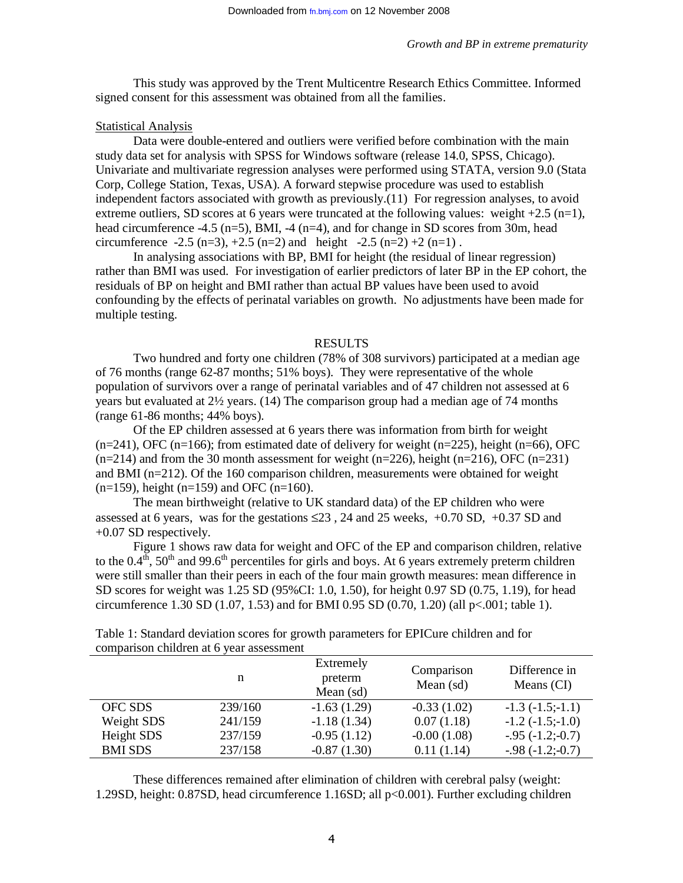This study was approved by the Trent Multicentre Research Ethics Committee. Informed signed consent for this assessment was obtained from all the families.

### Statistical Analysis

Data were double-entered and outliers were verified before combination with the main study data set for analysis with SPSS for Windows software (release 14.0, SPSS, Chicago). Univariate and multivariate regression analyses were performed using STATA, version 9.0 (Stata Corp, College Station, Texas, USA). A forward stepwise procedure was used to establish independent factors associated with growth as previously.(11) For regression analyses, to avoid extreme outliers, SD scores at 6 years were truncated at the following values: weight +2.5 (n=1), head circumference -4.5 (n=5), BMI, -4 (n=4), and for change in SD scores from 30m, head circumference  $-2.5$  (n=3),  $+2.5$  (n=2) and height  $-2.5$  (n=2)  $+2$  (n=1).

In analysing associations with BP, BMI for height (the residual of linear regression) rather than BMI was used. For investigation of earlier predictors of later BP in the EP cohort, the residuals of BP on height and BMI rather than actual BP values have been used to avoid confounding by the effects of perinatal variables on growth. No adjustments have been made for multiple testing.

#### RESULTS

Two hundred and forty one children (78% of 308 survivors) participated at a median age of 76 months (range 62-87 months; 51% boys). They were representative of the whole population of survivors over a range of perinatal variables and of 47 children not assessed at 6 years but evaluated at 2½ years. (14) The comparison group had a median age of 74 months (range 61-86 months; 44% boys).

Of the EP children assessed at 6 years there was information from birth for weight  $(n=241)$ , OFC  $(n=166)$ ; from estimated date of delivery for weight  $(n=225)$ , height  $(n=66)$ , OFC  $(n=214)$  and from the 30 month assessment for weight  $(n=226)$ , height  $(n=216)$ , OFC  $(n=231)$ and BMI (n=212). Of the 160 comparison children, measurements were obtained for weight  $(n=159)$ , height  $(n=159)$  and OFC  $(n=160)$ .

The mean birthweight (relative to UK standard data) of the EP children who were assessed at 6 years, was for the gestations  $\leq 23$ , 24 and 25 weeks, +0.70 SD, +0.37 SD and +0.07 SD respectively.

Figure 1 shows raw data for weight and OFC of the EP and comparison children, relative to the  $0.4<sup>th</sup>$ , 50<sup>th</sup> and 99.6<sup>th</sup> percentiles for girls and boys. At 6 years extremely preterm children were still smaller than their peers in each of the four main growth measures: mean difference in SD scores for weight was 1.25 SD (95%CI: 1.0, 1.50), for height 0.97 SD (0.75, 1.19), for head circumference 1.30 SD (1.07, 1.53) and for BMI 0.95 SD (0.70, 1.20) (all p<.001; table 1).

| comparison children at 0 year assessment |         |                                     |                           |                             |  |
|------------------------------------------|---------|-------------------------------------|---------------------------|-----------------------------|--|
|                                          | n       | Extremely<br>preterm<br>Mean $(sd)$ | Comparison<br>Mean $(sd)$ | Difference in<br>Means (CI) |  |
| OFC SDS                                  | 239/160 | $-1.63(1.29)$                       | $-0.33(1.02)$             | $-1.3(-1.5; -1.1)$          |  |
| Weight SDS                               | 241/159 | $-1.18(1.34)$                       | 0.07(1.18)                | $-1.2$ $(-1.5; -1.0)$       |  |
| Height SDS                               | 237/159 | $-0.95(1.12)$                       | $-0.00(1.08)$             | $-0.95(-1.2; -0.7)$         |  |
| <b>BMI SDS</b>                           | 237/158 | $-0.87(1.30)$                       | 0.11(1.14)                | $-0.98(-1.2; -0.7)$         |  |

Table 1: Standard deviation scores for growth parameters for EPICure children and for comparison children at 6 year assessment

These differences remained after elimination of children with cerebral palsy (weight: 1.29SD, height: 0.87SD, head circumference 1.16SD; all p<0.001). Further excluding children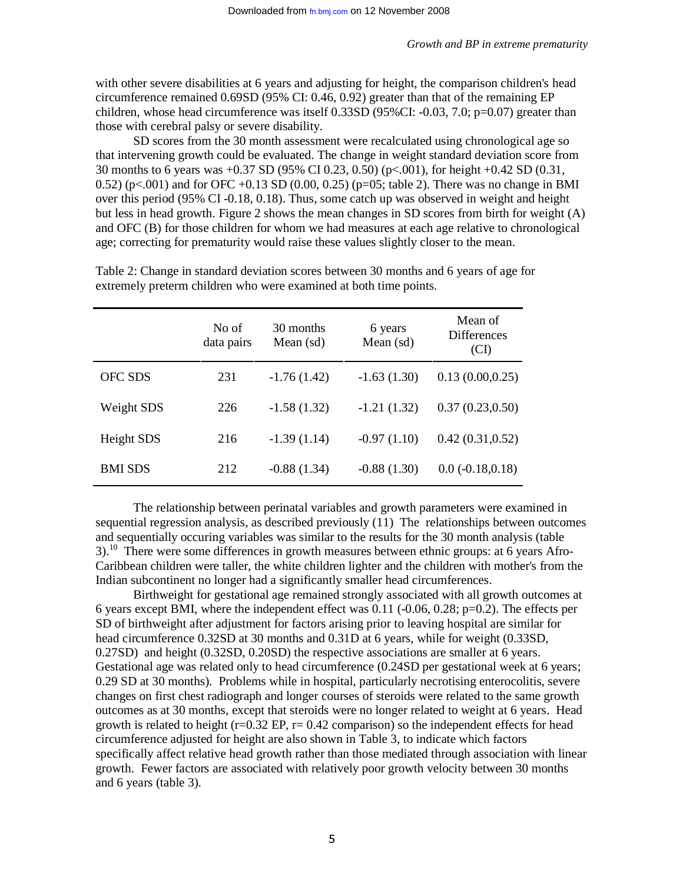with other severe disabilities at 6 years and adjusting for height, the comparison children's head circumference remained 0.69SD (95% CI: 0.46, 0.92) greater than that of the remaining EP children, whose head circumference was itself  $0.33SD(95\%CI: -0.03, 7.0; p=0.07)$  greater than those with cerebral palsy or severe disability.

SD scores from the 30 month assessment were recalculated using chronological age so that intervening growth could be evaluated. The change in weight standard deviation score from 30 months to 6 years was +0.37 SD (95% CI 0.23, 0.50) (p<.001), for height +0.42 SD (0.31, 0.52) (p<.001) and for OFC +0.13 SD (0.00, 0.25) (p=05; table 2). There was no change in BMI over this period (95% CI -0.18, 0.18). Thus, some catch up was observed in weight and height but less in head growth. Figure 2 shows the mean changes in SD scores from birth for weight (A) and OFC (B) for those children for whom we had measures at each age relative to chronological age; correcting for prematurity would raise these values slightly closer to the mean.

|                | No of<br>data pairs | 30 months<br>Mean $(sd)$ | 6 years<br>Mean (sd) | Mean of<br><b>Differences</b><br>(CI) |
|----------------|---------------------|--------------------------|----------------------|---------------------------------------|
| <b>OFC SDS</b> | 231                 | $-1.76(1.42)$            | $-1.63(1.30)$        | 0.13(0.00, 0.25)                      |
| Weight SDS     | 226                 | $-1.58(1.32)$            | $-1.21(1.32)$        | 0.37(0.23, 0.50)                      |
| Height SDS     | 216                 | $-1.39(1.14)$            | $-0.97(1.10)$        | 0.42(0.31, 0.52)                      |
| <b>BMI SDS</b> | 212                 | $-0.88(1.34)$            | $-0.88(1.30)$        | $0.0 (-0.18, 0.18)$                   |

Table 2: Change in standard deviation scores between 30 months and 6 years of age for extremely preterm children who were examined at both time points.

The relationship between perinatal variables and growth parameters were examined in sequential regression analysis, as described previously (11) The relationships between outcomes and sequentially occuring variables was similar to the results for the 30 month analysis (table 3).<sup>10</sup> There were some differences in growth measures between ethnic groups: at 6 years Afro-Caribbean children were taller, the white children lighter and the children with mother's from the Indian subcontinent no longer had a significantly smaller head circumferences.

Birthweight for gestational age remained strongly associated with all growth outcomes at 6 years except BMI, where the independent effect was  $0.11$  (-0.06, 0.28; p=0.2). The effects per SD of birthweight after adjustment for factors arising prior to leaving hospital are similar for head circumference 0.32SD at 30 months and 0.31D at 6 years, while for weight (0.33SD, 0.27SD) and height (0.32SD, 0.20SD) the respective associations are smaller at 6 years. Gestational age was related only to head circumference  $(0.24SD)$  per gestational week at 6 years; 0.29 SD at 30 months). Problems while in hospital, particularly necrotising enterocolitis, severe changes on first chest radiograph and longer courses of steroids were related to the same growth outcomes as at 30 months, except that steroids were no longer related to weight at 6 years. Head growth is related to height ( $r=0.32$  EP,  $r=0.42$  comparison) so the independent effects for head circumference adjusted for height are also shown in Table 3, to indicate which factors specifically affect relative head growth rather than those mediated through association with linear growth. Fewer factors are associated with relatively poor growth velocity between 30 months and 6 years (table 3).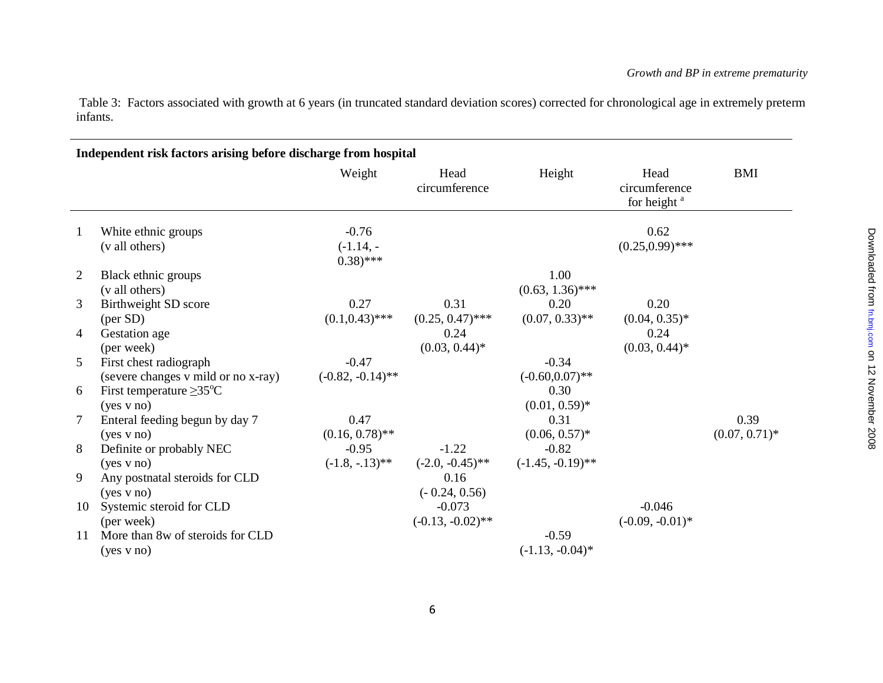Table 3: Factors associated with growth at 6 years (in truncated standard deviation scores) corrected for chronological age in extremely preterm infants.

## **Independent risk factors arising before discharge from hospital**

|                |                                                               | Weight                                 | Head<br>circumference           | Height                         | Head<br>circumference<br>for height <sup>a</sup> | <b>BMI</b>               |
|----------------|---------------------------------------------------------------|----------------------------------------|---------------------------------|--------------------------------|--------------------------------------------------|--------------------------|
|                | White ethnic groups<br>(v all others)                         | $-0.76$<br>$(-1.14, -$<br>$(0.38)$ *** |                                 |                                | 0.62<br>$(0.25, 0.99)$ ***                       |                          |
| $\overline{2}$ | Black ethnic groups<br>(v all others)                         |                                        |                                 | 1.00<br>$(0.63, 1.36)$ ***     |                                                  |                          |
| 3              | Birthweight SD score<br>$(\text{per SD})$                     | 0.27<br>$(0.1, 0.43)$ ***              | 0.31<br>$(0.25, 0.47)$ ***      | 0.20<br>$(0.07, 0.33)$ **      | 0.20<br>$(0.04, 0.35)^*$                         |                          |
| 4              | Gestation age<br>(per week)                                   |                                        | 0.24<br>$(0.03, 0.44)^*$        |                                | 0.24<br>$(0.03, 0.44)^*$                         |                          |
| 5              | First chest radiograph<br>(severe changes v mild or no x-ray) | $-0.47$<br>$(-0.82, -0.14)$ **         |                                 | $-0.34$<br>$(-0.60, 0.07)$ **  |                                                  |                          |
| 6              | First temperature $\geq$ 35 <sup>o</sup> C<br>(yes v no)      |                                        |                                 | 0.30<br>$(0.01, 0.59)^*$       |                                                  |                          |
| 7              | Enteral feeding begun by day 7<br>(yes v no)                  | 0.47<br>$(0.16, 0.78)$ **              |                                 | 0.31<br>$(0.06, 0.57)^*$       |                                                  | 0.39<br>$(0.07, 0.71)^*$ |
| 8              | Definite or probably NEC<br>(yes v no)                        | $-0.95$<br>$(-1.8, -13)$ **            | $-1.22$<br>$(-2.0, -0.45)$ **   | $-0.82$<br>$(-1.45, -0.19)$ ** |                                                  |                          |
| 9              | Any postnatal steroids for CLD<br>(yes v no)                  |                                        | 0.16<br>$(-0.24, 0.56)$         |                                |                                                  |                          |
| 10             | Systemic steroid for CLD<br>(per week)                        |                                        | $-0.073$<br>$(-0.13, -0.02)$ ** |                                | $-0.046$<br>$(-0.09, -0.01)$ *                   |                          |
| 11             | More than 8w of steroids for CLD<br>(yes v no)                |                                        |                                 | $-0.59$<br>$(-1.13, -0.04)^*$  |                                                  |                          |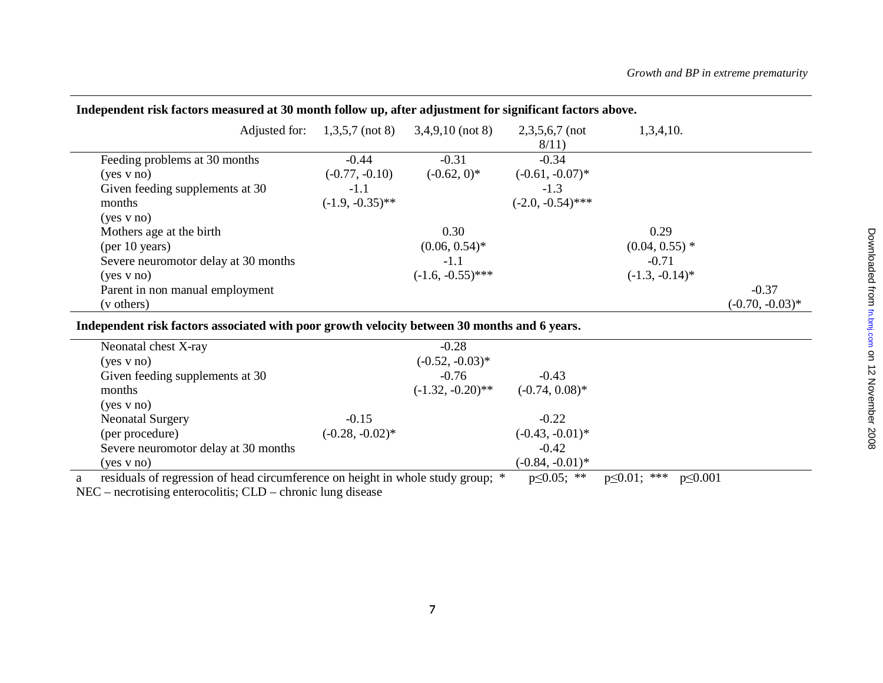| тиверсивент гря посото нивоп са иг со нюши топол артаног варилистетот ог <u>а</u> нитент посото арого. |                    |                                                                        |                          |                   |                    |
|--------------------------------------------------------------------------------------------------------|--------------------|------------------------------------------------------------------------|--------------------------|-------------------|--------------------|
|                                                                                                        |                    | Adjusted for: $1,3,5,7 \text{ (not 8)} \quad 3,4,9,10 \text{ (not 8)}$ | $2,3,5,6,7$ (not<br>8/11 | 1,3,4,10.         |                    |
| Feeding problems at 30 months                                                                          | $-0.44$            | $-0.31$                                                                | $-0.34$                  |                   |                    |
| $(yes \text{ v no})$                                                                                   | $(-0.77, -0.10)$   | $(-0.62, 0)^*$                                                         | $(-0.61, -0.07)^*$       |                   |                    |
| Given feeding supplements at 30                                                                        | $-1.1$             |                                                                        | $-1.3$                   |                   |                    |
| months                                                                                                 | $(-1.9, -0.35)$ ** |                                                                        | $(-2.0, -0.54)$ ***      |                   |                    |
| $(yes \text{ v no})$                                                                                   |                    |                                                                        |                          |                   |                    |
| Mothers age at the birth                                                                               |                    | 0.30                                                                   |                          | 0.29              |                    |
| (per 10 years)                                                                                         |                    | $(0.06, 0.54)^*$                                                       |                          | $(0.04, 0.55)$ *  |                    |
| Severe neuromotor delay at 30 months                                                                   |                    | $-1.1$                                                                 |                          | $-0.71$           |                    |
| (yes v no)                                                                                             |                    | $(-1.6, -0.55)$ ***                                                    |                          | $(-1.3, -0.14)^*$ |                    |
| Parent in non manual employment                                                                        |                    |                                                                        |                          |                   | $-0.37$            |
| (v others)                                                                                             |                    |                                                                        |                          |                   | $(-0.70, -0.03)^*$ |

### **Independent risk factors measured at 30 month follow up, after adjustment for significant factors above.**

**Independent risk factors associated with poor growth velocity between 30 months and 6 years.** 

| Neonatal chest X-ray                 |                    | $-0.28$             |                    |  |
|--------------------------------------|--------------------|---------------------|--------------------|--|
| $(yes \text{ v no})$                 |                    | $(-0.52, -0.03)*$   |                    |  |
| Given feeding supplements at 30      |                    | $-0.76$             | $-0.43$            |  |
| months                               |                    | $(-1.32, -0.20)$ ** | $(-0.74, 0.08)^*$  |  |
| (yes v no)                           |                    |                     |                    |  |
| <b>Neonatal Surgery</b>              | $-0.15$            |                     | $-0.22$            |  |
| (per procedure)                      | $(-0.28, -0.02)^*$ |                     | $(-0.43, -0.01)^*$ |  |
| Severe neuromotor delay at 30 months |                    |                     | $-0.42$            |  |
| (yes v no)                           |                    |                     | $(-0.84, -0.01)^*$ |  |
|                                      |                    |                     |                    |  |

a residuals of regression of head circumference on height in whole study group; \* p≤0.05; \*\* p≤0.01; \*\*\* p≤0.001

NEC – necrotising enterocolitis; CLD – chronic lung disease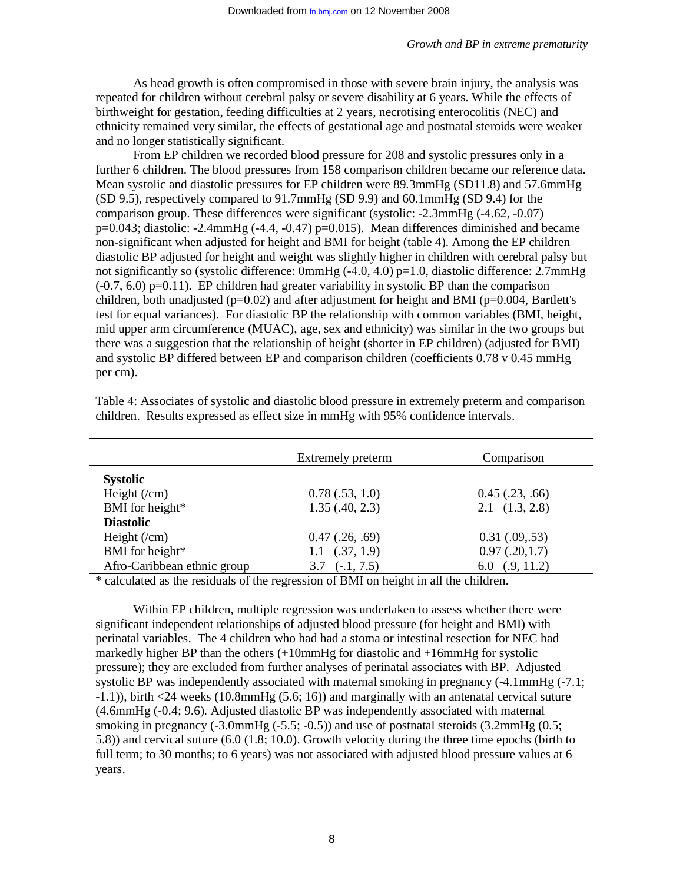As head growth is often compromised in those with severe brain injury, the analysis was repeated for children without cerebral palsy or severe disability at 6 years. While the effects of birthweight for gestation, feeding difficulties at 2 years, necrotising enterocolitis (NEC) and ethnicity remained very similar, the effects of gestational age and postnatal steroids were weaker and no longer statistically significant.

From EP children we recorded blood pressure for 208 and systolic pressures only in a further 6 children. The blood pressures from 158 comparison children became our reference data. Mean systolic and diastolic pressures for EP children were 89.3mmHg (SD11.8) and 57.6mmHg (SD 9.5), respectively compared to 91.7mmHg (SD 9.9) and 60.1mmHg (SD 9.4) for the comparison group. These differences were significant (systolic: -2.3mmHg (-4.62, -0.07)  $p=0.043$ ; diastolic: -2.4mmHg (-4.4, -0.47)  $p=0.015$ ). Mean differences diminished and became non-significant when adjusted for height and BMI for height (table 4). Among the EP children diastolic BP adjusted for height and weight was slightly higher in children with cerebral palsy but not significantly so (systolic difference:  $0mmHg$  (-4.0, 4.0) p=1.0, diastolic difference: 2.7mmHg  $(-0.7, 6.0)$  p=0.11). EP children had greater variability in systolic BP than the comparison children, both unadjusted ( $p=0.02$ ) and after adjustment for height and BMI ( $p=0.004$ , Bartlett's test for equal variances). For diastolic BP the relationship with common variables (BMI, height, mid upper arm circumference (MUAC), age, sex and ethnicity) was similar in the two groups but there was a suggestion that the relationship of height (shorter in EP children) (adjusted for BMI) and systolic BP differed between EP and comparison children (coefficients 0.78 v 0.45 mmHg per cm).

| Extremely preterm      | Comparison             |
|------------------------|------------------------|
|                        |                        |
| 0.78(.53, 1.0)         | $0.45$ $(.23, .66)$    |
| 1.35(.40, 2.3)         | $2.1 \quad (1.3, 2.8)$ |
|                        |                        |
| $0.47$ $(.26, .69)$    | $0.31 \,(.09, .53)$    |
| $1.1 \quad (.37, 1.9)$ | 0.97(.20,1.7)          |
| $(-.1, 7.5)$<br>3.7    | 6.0 $(.9, 11.2)$       |
|                        |                        |

Table 4: Associates of systolic and diastolic blood pressure in extremely preterm and comparison children. Results expressed as effect size in mmHg with 95% confidence intervals.

\* calculated as the residuals of the regression of BMI on height in all the children.

Within EP children, multiple regression was undertaken to assess whether there were significant independent relationships of adjusted blood pressure (for height and BMI) with perinatal variables. The 4 children who had had a stoma or intestinal resection for NEC had markedly higher BP than the others (+10mmHg for diastolic and +16mmHg for systolic pressure); they are excluded from further analyses of perinatal associates with BP. Adjusted systolic BP was independently associated with maternal smoking in pregnancy  $(-4.1\text{mmHz})$  (-7.1; -1.1)), birth <24 weeks (10.8mmHg (5.6; 16)) and marginally with an antenatal cervical suture (4.6mmHg (-0.4; 9.6). Adjusted diastolic BP was independently associated with maternal smoking in pregnancy (-3.0mmHg (-5.5; -0.5)) and use of postnatal steroids (3.2mmHg (0.5; 5.8)) and cervical suture (6.0 (1.8; 10.0). Growth velocity during the three time epochs (birth to full term; to 30 months; to 6 years) was not associated with adjusted blood pressure values at 6 years.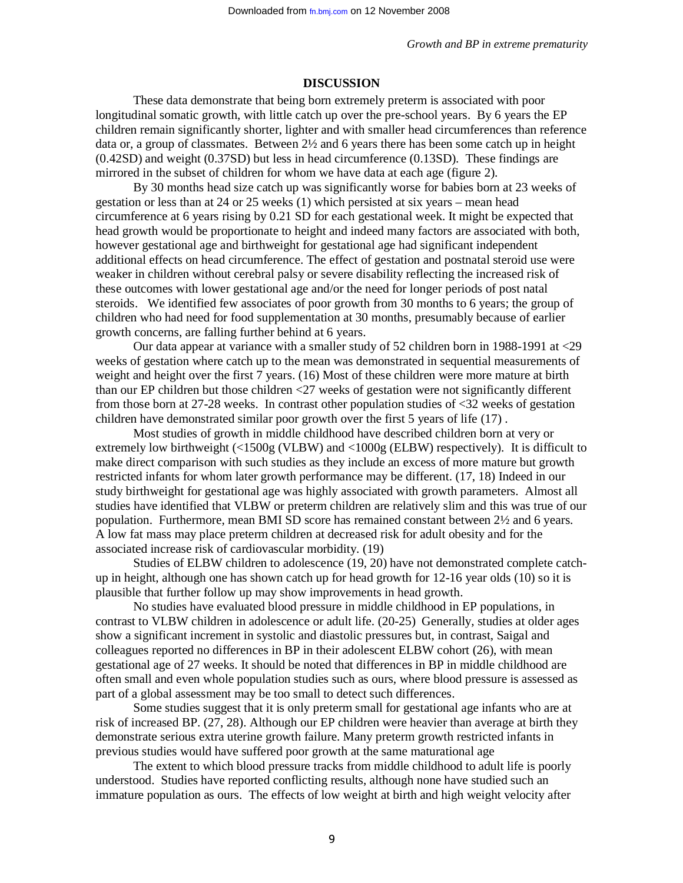### **DISCUSSION**

These data demonstrate that being born extremely preterm is associated with poor longitudinal somatic growth, with little catch up over the pre-school years. By 6 years the EP children remain significantly shorter, lighter and with smaller head circumferences than reference data or, a group of classmates. Between  $2\frac{1}{2}$  and 6 years there has been some catch up in height (0.42SD) and weight (0.37SD) but less in head circumference (0.13SD). These findings are mirrored in the subset of children for whom we have data at each age (figure 2).

By 30 months head size catch up was significantly worse for babies born at 23 weeks of gestation or less than at 24 or 25 weeks (1) which persisted at six years – mean head circumference at 6 years rising by 0.21 SD for each gestational week. It might be expected that head growth would be proportionate to height and indeed many factors are associated with both, however gestational age and birthweight for gestational age had significant independent additional effects on head circumference. The effect of gestation and postnatal steroid use were weaker in children without cerebral palsy or severe disability reflecting the increased risk of these outcomes with lower gestational age and/or the need for longer periods of post natal steroids. We identified few associates of poor growth from 30 months to 6 years; the group of children who had need for food supplementation at 30 months, presumably because of earlier growth concerns, are falling further behind at 6 years.

Our data appear at variance with a smaller study of 52 children born in 1988-1991 at <29 weeks of gestation where catch up to the mean was demonstrated in sequential measurements of weight and height over the first 7 years. (16) Most of these children were more mature at birth than our EP children but those children <27 weeks of gestation were not significantly different from those born at 27-28 weeks. In contrast other population studies of <32 weeks of gestation children have demonstrated similar poor growth over the first 5 years of life (17) .

Most studies of growth in middle childhood have described children born at very or extremely low birthweight (<1500g (VLBW) and <1000g (ELBW) respectively). It is difficult to make direct comparison with such studies as they include an excess of more mature but growth restricted infants for whom later growth performance may be different. (17, 18) Indeed in our study birthweight for gestational age was highly associated with growth parameters. Almost all studies have identified that VLBW or preterm children are relatively slim and this was true of our population. Furthermore, mean BMI SD score has remained constant between 2½ and 6 years. A low fat mass may place preterm children at decreased risk for adult obesity and for the associated increase risk of cardiovascular morbidity. (19)

Studies of ELBW children to adolescence (19, 20) have not demonstrated complete catchup in height, although one has shown catch up for head growth for 12-16 year olds (10) so it is plausible that further follow up may show improvements in head growth.

No studies have evaluated blood pressure in middle childhood in EP populations, in contrast to VLBW children in adolescence or adult life. (20-25) Generally, studies at older ages show a significant increment in systolic and diastolic pressures but, in contrast, Saigal and colleagues reported no differences in BP in their adolescent ELBW cohort (26), with mean gestational age of 27 weeks. It should be noted that differences in BP in middle childhood are often small and even whole population studies such as ours, where blood pressure is assessed as part of a global assessment may be too small to detect such differences.

Some studies suggest that it is only preterm small for gestational age infants who are at risk of increased BP. (27, 28). Although our EP children were heavier than average at birth they demonstrate serious extra uterine growth failure. Many preterm growth restricted infants in previous studies would have suffered poor growth at the same maturational age

The extent to which blood pressure tracks from middle childhood to adult life is poorly understood. Studies have reported conflicting results, although none have studied such an immature population as ours. The effects of low weight at birth and high weight velocity after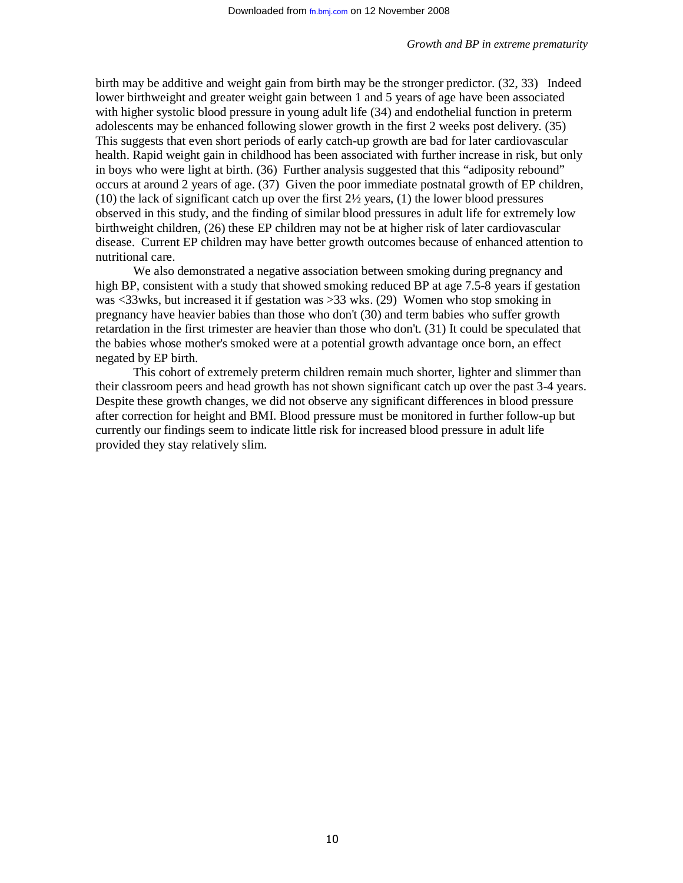birth may be additive and weight gain from birth may be the stronger predictor. (32, 33) Indeed lower birthweight and greater weight gain between 1 and 5 years of age have been associated with higher systolic blood pressure in young adult life (34) and endothelial function in preterm adolescents may be enhanced following slower growth in the first 2 weeks post delivery. (35) This suggests that even short periods of early catch-up growth are bad for later cardiovascular health. Rapid weight gain in childhood has been associated with further increase in risk, but only in boys who were light at birth. (36) Further analysis suggested that this "adiposity rebound" occurs at around 2 years of age. (37) Given the poor immediate postnatal growth of EP children,  $(10)$  the lack of significant catch up over the first  $2\frac{1}{2}$  years,  $(1)$  the lower blood pressures observed in this study, and the finding of similar blood pressures in adult life for extremely low birthweight children, (26) these EP children may not be at higher risk of later cardiovascular disease. Current EP children may have better growth outcomes because of enhanced attention to nutritional care.

We also demonstrated a negative association between smoking during pregnancy and high BP, consistent with a study that showed smoking reduced BP at age 7.5-8 years if gestation was <33wks, but increased it if gestation was >33 wks. (29) Women who stop smoking in pregnancy have heavier babies than those who don't (30) and term babies who suffer growth retardation in the first trimester are heavier than those who don't. (31) It could be speculated that the babies whose mother's smoked were at a potential growth advantage once born, an effect negated by EP birth.

This cohort of extremely preterm children remain much shorter, lighter and slimmer than their classroom peers and head growth has not shown significant catch up over the past 3-4 years. Despite these growth changes, we did not observe any significant differences in blood pressure after correction for height and BMI. Blood pressure must be monitored in further follow-up but currently our findings seem to indicate little risk for increased blood pressure in adult life provided they stay relatively slim.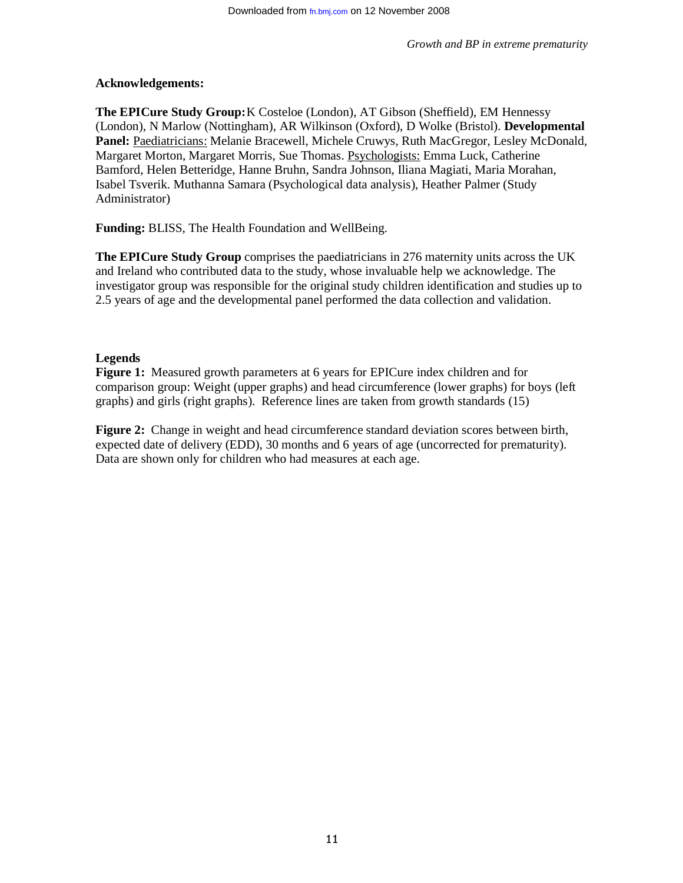## **Acknowledgements:**

**The EPICure Study Group:** K Costeloe (London), AT Gibson (Sheffield), EM Hennessy (London), N Marlow (Nottingham), AR Wilkinson (Oxford), D Wolke (Bristol). **Developmental**  Panel: Paediatricians: Melanie Bracewell, Michele Cruwys, Ruth MacGregor, Lesley McDonald, Margaret Morton, Margaret Morris, Sue Thomas. Psychologists: Emma Luck, Catherine Bamford, Helen Betteridge, Hanne Bruhn, Sandra Johnson, Iliana Magiati, Maria Morahan, Isabel Tsverik. Muthanna Samara (Psychological data analysis), Heather Palmer (Study Administrator)

**Funding:** BLISS, The Health Foundation and WellBeing.

**The EPICure Study Group** comprises the paediatricians in 276 maternity units across the UK and Ireland who contributed data to the study, whose invaluable help we acknowledge. The investigator group was responsible for the original study children identification and studies up to 2.5 years of age and the developmental panel performed the data collection and validation.

## **Legends**

**Figure 1:** Measured growth parameters at 6 years for EPICure index children and for comparison group: Weight (upper graphs) and head circumference (lower graphs) for boys (left graphs) and girls (right graphs). Reference lines are taken from growth standards (15)

**Figure 2:** Change in weight and head circumference standard deviation scores between birth, expected date of delivery (EDD), 30 months and 6 years of age (uncorrected for prematurity). Data are shown only for children who had measures at each age.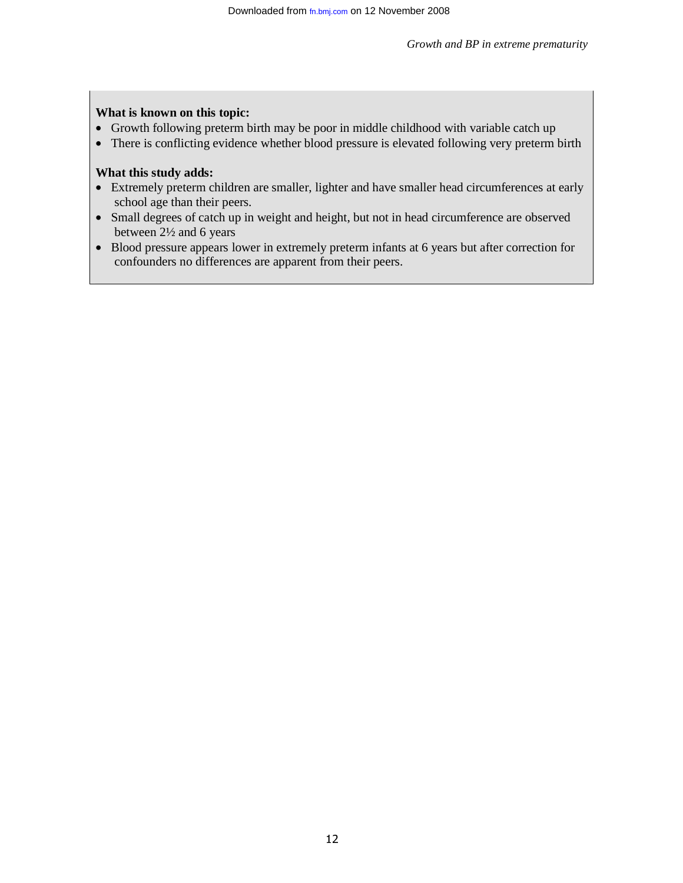## **What is known on this topic:**

- Growth following preterm birth may be poor in middle childhood with variable catch up
- There is conflicting evidence whether blood pressure is elevated following very preterm birth

# **What this study adds:**

- Extremely preterm children are smaller, lighter and have smaller head circumferences at early school age than their peers.
- Small degrees of catch up in weight and height, but not in head circumference are observed between 2½ and 6 years
- Blood pressure appears lower in extremely preterm infants at 6 years but after correction for confounders no differences are apparent from their peers.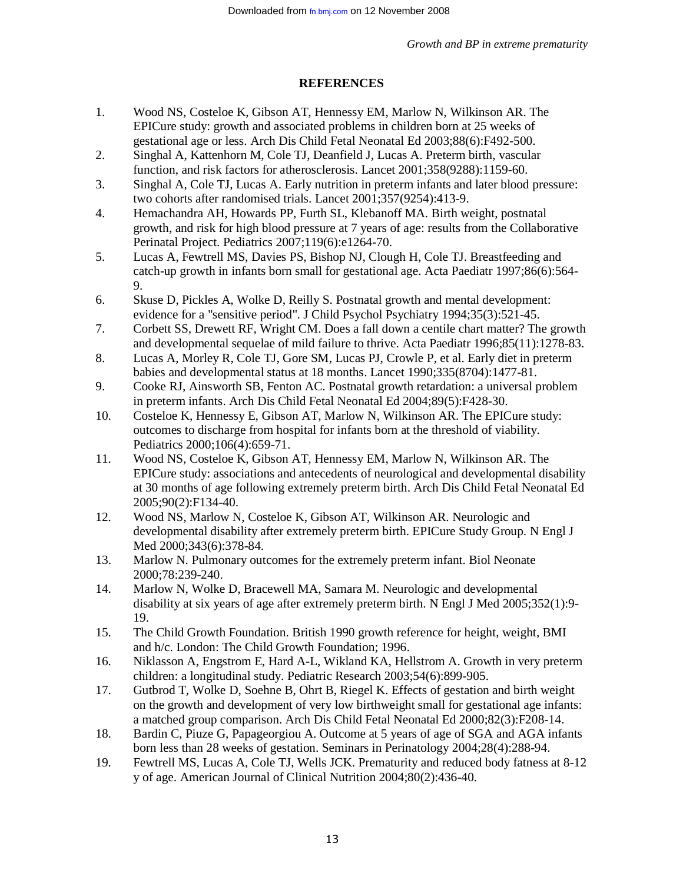### **REFERENCES**

- 1. Wood NS, Costeloe K, Gibson AT, Hennessy EM, Marlow N, Wilkinson AR. The EPICure study: growth and associated problems in children born at 25 weeks of gestational age or less. Arch Dis Child Fetal Neonatal Ed 2003;88(6):F492-500.
- 2. Singhal A, Kattenhorn M, Cole TJ, Deanfield J, Lucas A. Preterm birth, vascular function, and risk factors for atherosclerosis. Lancet 2001;358(9288):1159-60.
- 3. Singhal A, Cole TJ, Lucas A. Early nutrition in preterm infants and later blood pressure: two cohorts after randomised trials. Lancet 2001;357(9254):413-9.
- 4. Hemachandra AH, Howards PP, Furth SL, Klebanoff MA. Birth weight, postnatal growth, and risk for high blood pressure at 7 years of age: results from the Collaborative Perinatal Project. Pediatrics 2007;119(6):e1264-70.
- 5. Lucas A, Fewtrell MS, Davies PS, Bishop NJ, Clough H, Cole TJ. Breastfeeding and catch-up growth in infants born small for gestational age. Acta Paediatr 1997;86(6):564- 9.
- 6. Skuse D, Pickles A, Wolke D, Reilly S. Postnatal growth and mental development: evidence for a "sensitive period". J Child Psychol Psychiatry 1994;35(3):521-45.
- 7. Corbett SS, Drewett RF, Wright CM. Does a fall down a centile chart matter? The growth and developmental sequelae of mild failure to thrive. Acta Paediatr 1996;85(11):1278-83.
- 8. Lucas A, Morley R, Cole TJ, Gore SM, Lucas PJ, Crowle P, et al. Early diet in preterm babies and developmental status at 18 months. Lancet 1990;335(8704):1477-81.
- 9. Cooke RJ, Ainsworth SB, Fenton AC. Postnatal growth retardation: a universal problem in preterm infants. Arch Dis Child Fetal Neonatal Ed 2004;89(5):F428-30.
- 10. Costeloe K, Hennessy E, Gibson AT, Marlow N, Wilkinson AR. The EPICure study: outcomes to discharge from hospital for infants born at the threshold of viability. Pediatrics 2000;106(4):659-71.
- 11. Wood NS, Costeloe K, Gibson AT, Hennessy EM, Marlow N, Wilkinson AR. The EPICure study: associations and antecedents of neurological and developmental disability at 30 months of age following extremely preterm birth. Arch Dis Child Fetal Neonatal Ed 2005;90(2):F134-40.
- 12. Wood NS, Marlow N, Costeloe K, Gibson AT, Wilkinson AR. Neurologic and developmental disability after extremely preterm birth. EPICure Study Group. N Engl J Med 2000;343(6):378-84.
- 13. Marlow N. Pulmonary outcomes for the extremely preterm infant. Biol Neonate 2000;78:239-240.
- 14. Marlow N, Wolke D, Bracewell MA, Samara M. Neurologic and developmental disability at six years of age after extremely preterm birth. N Engl J Med 2005;352(1):9- 19.
- 15. The Child Growth Foundation. British 1990 growth reference for height, weight, BMI and h/c. London: The Child Growth Foundation; 1996.
- 16. Niklasson A, Engstrom E, Hard A-L, Wikland KA, Hellstrom A. Growth in very preterm children: a longitudinal study. Pediatric Research 2003;54(6):899-905.
- 17. Gutbrod T, Wolke D, Soehne B, Ohrt B, Riegel K. Effects of gestation and birth weight on the growth and development of very low birthweight small for gestational age infants: a matched group comparison. Arch Dis Child Fetal Neonatal Ed 2000;82(3):F208-14.
- 18. Bardin C, Piuze G, Papageorgiou A. Outcome at 5 years of age of SGA and AGA infants born less than 28 weeks of gestation. Seminars in Perinatology 2004;28(4):288-94.
- 19. Fewtrell MS, Lucas A, Cole TJ, Wells JCK. Prematurity and reduced body fatness at 8-12 y of age. American Journal of Clinical Nutrition 2004;80(2):436-40.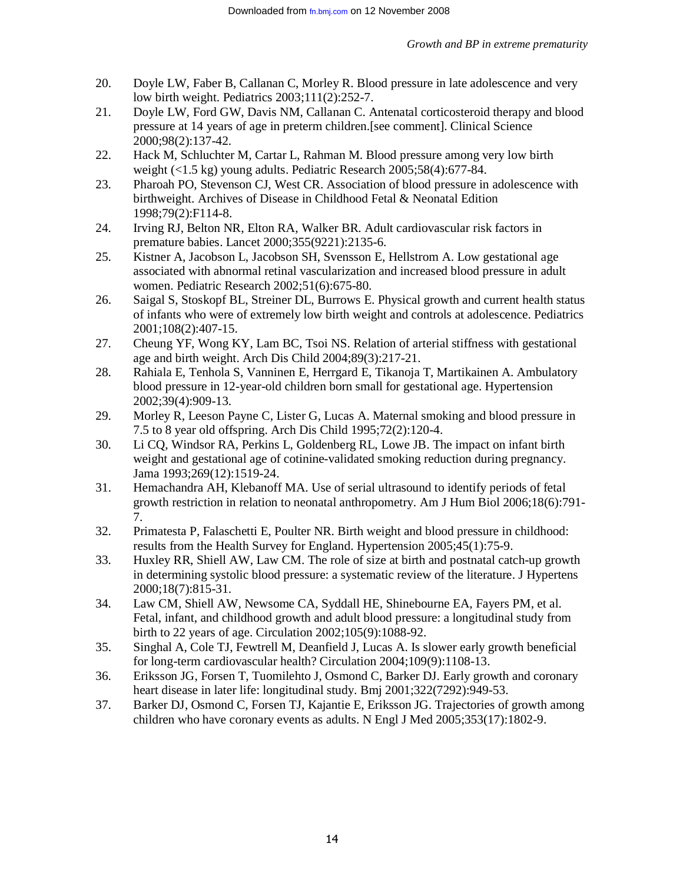- 20. Doyle LW, Faber B, Callanan C, Morley R. Blood pressure in late adolescence and very low birth weight. Pediatrics 2003;111(2):252-7.
- 21. Doyle LW, Ford GW, Davis NM, Callanan C. Antenatal corticosteroid therapy and blood pressure at 14 years of age in preterm children.[see comment]. Clinical Science 2000;98(2):137-42.
- 22. Hack M, Schluchter M, Cartar L, Rahman M. Blood pressure among very low birth weight (<1.5 kg) young adults. Pediatric Research 2005;58(4):677-84.
- 23. Pharoah PO, Stevenson CJ, West CR. Association of blood pressure in adolescence with birthweight. Archives of Disease in Childhood Fetal & Neonatal Edition 1998;79(2):F114-8.
- 24. Irving RJ, Belton NR, Elton RA, Walker BR. Adult cardiovascular risk factors in premature babies. Lancet 2000;355(9221):2135-6.
- 25. Kistner A, Jacobson L, Jacobson SH, Svensson E, Hellstrom A. Low gestational age associated with abnormal retinal vascularization and increased blood pressure in adult women. Pediatric Research 2002;51(6):675-80.
- 26. Saigal S, Stoskopf BL, Streiner DL, Burrows E. Physical growth and current health status of infants who were of extremely low birth weight and controls at adolescence. Pediatrics 2001;108(2):407-15.
- 27. Cheung YF, Wong KY, Lam BC, Tsoi NS. Relation of arterial stiffness with gestational age and birth weight. Arch Dis Child 2004;89(3):217-21.
- 28. Rahiala E, Tenhola S, Vanninen E, Herrgard E, Tikanoja T, Martikainen A. Ambulatory blood pressure in 12-year-old children born small for gestational age. Hypertension 2002;39(4):909-13.
- 29. Morley R, Leeson Payne C, Lister G, Lucas A. Maternal smoking and blood pressure in 7.5 to 8 year old offspring. Arch Dis Child 1995;72(2):120-4.
- 30. Li CQ, Windsor RA, Perkins L, Goldenberg RL, Lowe JB. The impact on infant birth weight and gestational age of cotinine-validated smoking reduction during pregnancy. Jama 1993;269(12):1519-24.
- 31. Hemachandra AH, Klebanoff MA. Use of serial ultrasound to identify periods of fetal growth restriction in relation to neonatal anthropometry. Am J Hum Biol 2006;18(6):791- 7.
- 32. Primatesta P, Falaschetti E, Poulter NR. Birth weight and blood pressure in childhood: results from the Health Survey for England. Hypertension 2005;45(1):75-9.
- 33. Huxley RR, Shiell AW, Law CM. The role of size at birth and postnatal catch-up growth in determining systolic blood pressure: a systematic review of the literature. J Hypertens 2000;18(7):815-31.
- 34. Law CM, Shiell AW, Newsome CA, Syddall HE, Shinebourne EA, Fayers PM, et al. Fetal, infant, and childhood growth and adult blood pressure: a longitudinal study from birth to 22 years of age. Circulation 2002;105(9):1088-92.
- 35. Singhal A, Cole TJ, Fewtrell M, Deanfield J, Lucas A. Is slower early growth beneficial for long-term cardiovascular health? Circulation 2004;109(9):1108-13.
- 36. Eriksson JG, Forsen T, Tuomilehto J, Osmond C, Barker DJ. Early growth and coronary heart disease in later life: longitudinal study. Bmj 2001;322(7292):949-53.
- 37. Barker DJ, Osmond C, Forsen TJ, Kajantie E, Eriksson JG. Trajectories of growth among children who have coronary events as adults. N Engl J Med 2005;353(17):1802-9.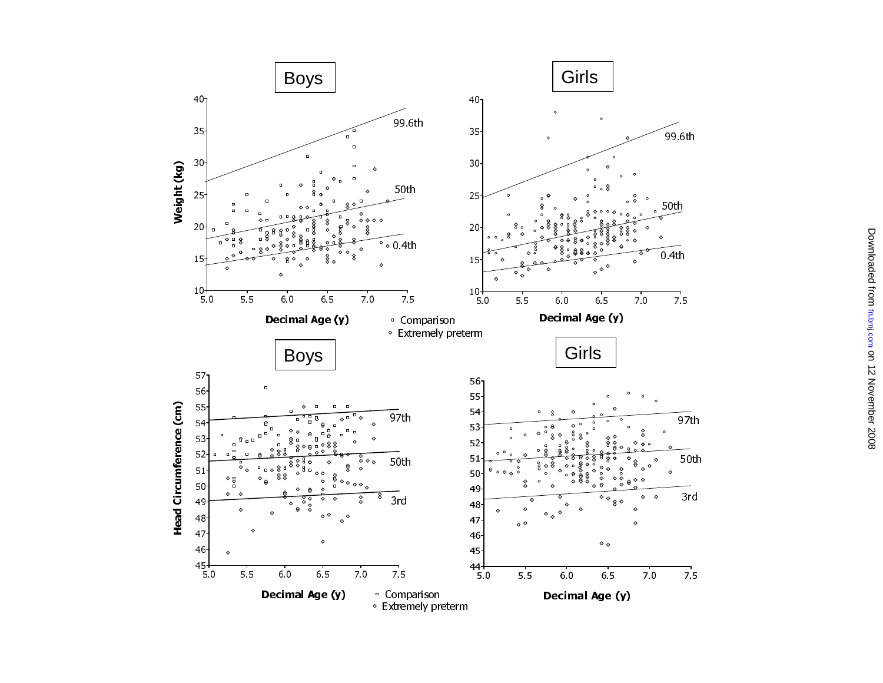